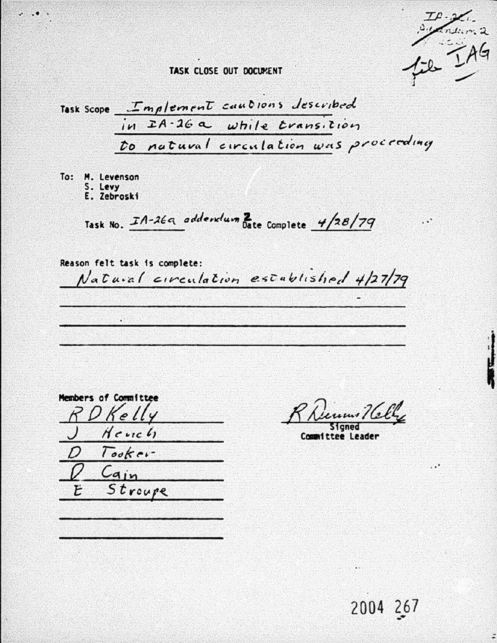TASK CLOSE OUT DOCUMENT

Task Scope Implement cautions described<br>in IA-26 a while transition to natural circulation was proceeding

To: M. Levenson S. Levy

E. Zebroski

Task No. In-26a addendum Bate Complete 4/28/79

Reason felt task is complete: Natural circulation established 4/27/79

Members of Committee  $K_{\rho}$  $H$ e vic  $l$ Tooker-Cain Stroupe

Committee Leader

2004 267

 $\ddot{ }$